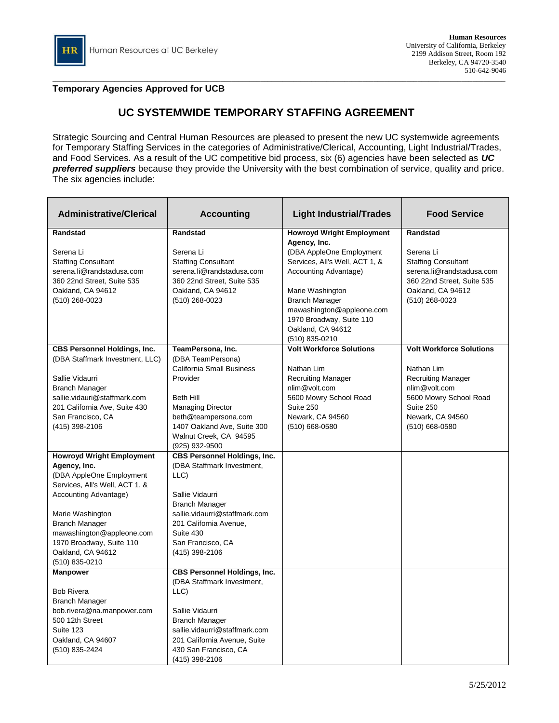## **Temporary Agencies Approved for UCB**

## **UC SYSTEMWIDE TEMPORARY STAFFING AGREEMENT**

Strategic Sourcing and Central Human Resources are pleased to present the new UC systemwide agreements for Temporary Staffing Services in the categories of Administrative/Clerical, Accounting, Light Industrial/Trades, and Food Services. As a result of the UC competitive bid process, six (6) agencies have been selected as *UC preferred suppliers* because they provide the University with the best combination of service, quality and price. The six agencies include:

| <b>Administrative/Clerical</b>                                                                                                                                                                                                                                                       | <b>Accounting</b>                                                                                                                                                                                                                         | <b>Light Industrial/Trades</b>                                                                                                                                                                                                                                                       | <b>Food Service</b>                                                                                                                                                      |
|--------------------------------------------------------------------------------------------------------------------------------------------------------------------------------------------------------------------------------------------------------------------------------------|-------------------------------------------------------------------------------------------------------------------------------------------------------------------------------------------------------------------------------------------|--------------------------------------------------------------------------------------------------------------------------------------------------------------------------------------------------------------------------------------------------------------------------------------|--------------------------------------------------------------------------------------------------------------------------------------------------------------------------|
| Randstad<br>Serena Li<br><b>Staffing Consultant</b><br>serena.li@randstadusa.com<br>360 22nd Street, Suite 535<br>Oakland, CA 94612<br>(510) 268-0023                                                                                                                                | Randstad<br>Serena Li<br><b>Staffing Consultant</b><br>serena.li@randstadusa.com<br>360 22nd Street, Suite 535<br>Oakland, CA 94612<br>$(510)$ 268-0023                                                                                   | <b>Howroyd Wright Employment</b><br>Agency, Inc.<br>(DBA AppleOne Employment<br>Services, All's Well, ACT 1, &<br>Accounting Advantage)<br>Marie Washington<br><b>Branch Manager</b><br>mawashington@appleone.com<br>1970 Broadway, Suite 110<br>Oakland, CA 94612<br>(510) 835-0210 | <b>Randstad</b><br>Serena Li<br><b>Staffing Consultant</b><br>serena.li@randstadusa.com<br>360 22nd Street, Suite 535<br>Oakland, CA 94612<br>$(510)$ 268-0023           |
| <b>CBS Personnel Holdings, Inc.</b><br>(DBA Staffmark Investment, LLC)<br>Sallie Vidaurri<br><b>Branch Manager</b><br>sallie.vidauri@staffmark.com<br>201 California Ave, Suite 430<br>San Francisco, CA<br>(415) 398-2106                                                           | TeamPersona, Inc.<br>(DBA TeamPersona)<br><b>California Small Business</b><br>Provider<br><b>Beth Hill</b><br><b>Managing Director</b><br>beth@teampersona.com<br>1407 Oakland Ave, Suite 300<br>Walnut Creek, CA 94595<br>(925) 932-9500 | <b>Volt Workforce Solutions</b><br>Nathan Lim<br><b>Recruiting Manager</b><br>nlim@volt.com<br>5600 Mowry School Road<br>Suite 250<br>Newark, CA 94560<br>$(510)$ 668-0580                                                                                                           | <b>Volt Workforce Solutions</b><br>Nathan Lim<br><b>Recruiting Manager</b><br>nlim@volt.com<br>5600 Mowry School Road<br>Suite 250<br>Newark, CA 94560<br>(510) 668-0580 |
| <b>Howroyd Wright Employment</b><br>Agency, Inc.<br>(DBA AppleOne Employment<br>Services, All's Well, ACT 1, &<br>Accounting Advantage)<br>Marie Washington<br><b>Branch Manager</b><br>mawashington@appleone.com<br>1970 Broadway, Suite 110<br>Oakland, CA 94612<br>(510) 835-0210 | <b>CBS Personnel Holdings, Inc.</b><br>(DBA Staffmark Investment,<br>LLC)<br>Sallie Vidaurri<br><b>Branch Manager</b><br>sallie.vidaurri@staffmark.com<br>201 California Avenue,<br>Suite 430<br>San Francisco, CA<br>(415) 398-2106      |                                                                                                                                                                                                                                                                                      |                                                                                                                                                                          |
| <b>Manpower</b><br><b>Bob Rivera</b><br><b>Branch Manager</b><br>bob.rivera@na.manpower.com<br>500 12th Street<br>Suite 123<br>Oakland, CA 94607<br>(510) 835-2424                                                                                                                   | <b>CBS Personnel Holdings, Inc.</b><br>(DBA Staffmark Investment.<br>LLC)<br>Sallie Vidaurri<br><b>Branch Manager</b><br>sallie.vidaurri@staffmark.com<br>201 California Avenue, Suite<br>430 San Francisco, CA<br>(415) 398-2106         |                                                                                                                                                                                                                                                                                      |                                                                                                                                                                          |